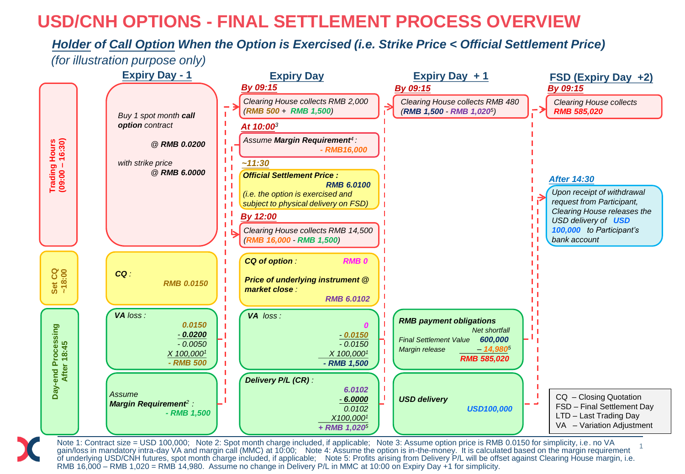### *Holder of Call Option When the Option is Exercised (i.e. Strike Price < Official Settlement Price)*



Note 1: Contract size = USD 100,000; Note 2: Spot month charge included, if applicable; Note 3: Assume option price is RMB 0.0150 for simplicity, i.e. no VA gain/loss in mandatory intra-day VA and margin call (MMC) at 10:00; Note 4: Assume the option is in-the-money. It is calculated based on the margin requirement of underlying USD/CNH futures, spot month charge included, if applicable; Note 5: Profits arising from Delivery P/L will be offset against Clearing House margin, i.e. RMB 16,000 – RMB 1,020 = RMB 14,980. Assume no change in Delivery P/L in MMC at 10:00 on Expiry Day +1 for simplicity.

1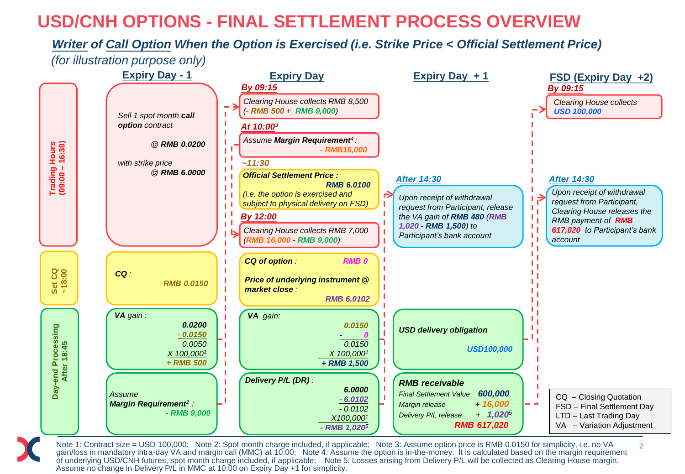#### *Writer of Call Option When the Option is Exercised (i.e. Strike Price < Official Settlement Price)*



Note 1: Contract size = USD 100,000; Note 2: Spot month charge included, if applicable; Note 3: Assume option price is RMB 0.0150 for simplicity, i.e. no VA 2016<br>gain/loss in mandatory intra-day VA and margin call (MMC) at of underlying USD/CNH futures, spot month charge included, if applicable; Note 5: Losses arising from Delivery P/L will be collected as Clearing House margin. Assume no change in Delivery P/L in MMC at 10:00 on Expiry Day +1 for simplicity.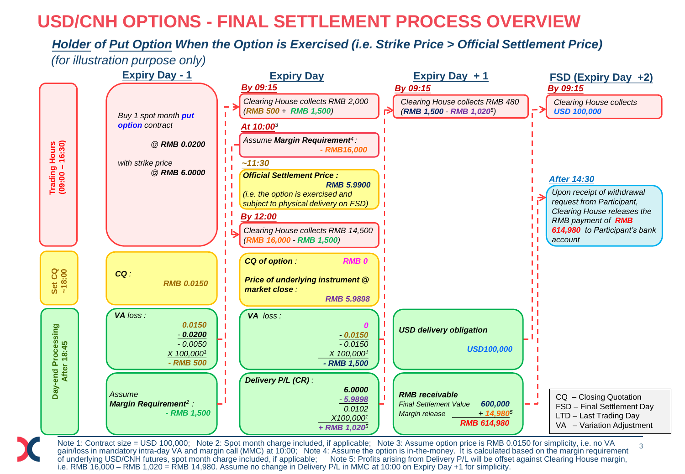### *Holder of Put Option When the Option is Exercised (i.e. Strike Price > Official Settlement Price)*



Note 1: Contract size = USD 100,000; Note 2: Spot month charge included, if applicable; Note 3: Assume option price is RMB 0.0150 for simplicity, i.e. no VA 3 gain/loss in mandatory intra-day VA and margin call (MMC) at 10:00; Note 4: Assume the option is in-the-money. It is calculated based on the margin requirement of underlying USD/CNH futures, spot month charge included, if applicable; Note 5: Profits arising from Delivery P/L will be offset against Clearing House margin, i.e. RMB 16,000 – RMB 1,020 = RMB 14,980. Assume no change in Delivery P/L in MMC at 10:00 on Expiry Day +1 for simplicity.